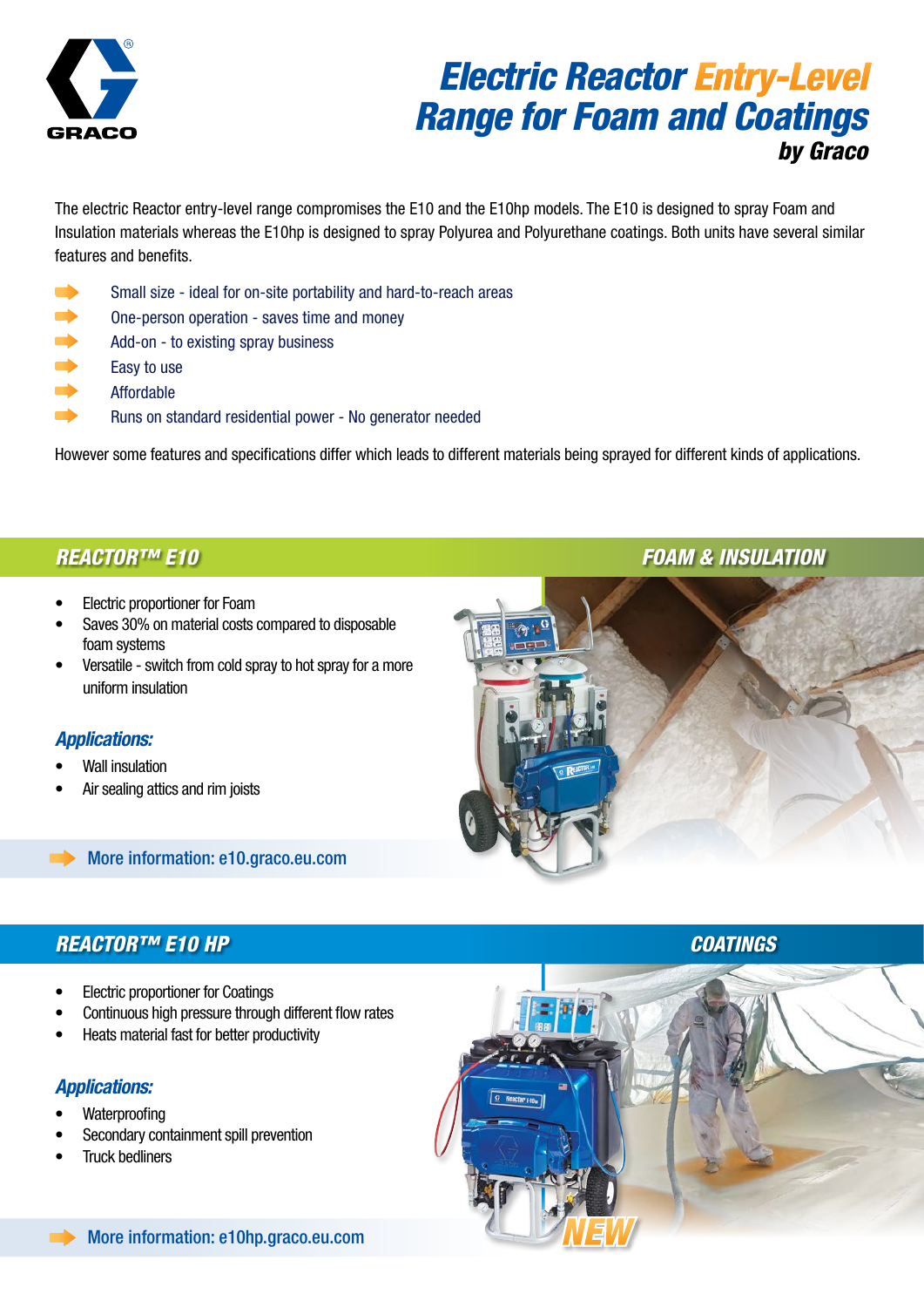

# *Electric Reactor Entry-Level Range for Foam and Coatings by Graco*

The electric Reactor entry-level range compromises the E10 and the E10hp models. The E10 is designed to spray Foam and Insulation materials whereas the E10hp is designed to spray Polyurea and Polyurethane coatings. Both units have several similar features and benefits.

- Small size ideal for on-site portability and hard-to-reach areas
- **Dime-person operation saves time and money**
- $\rightarrow$  Add-on - to existing spray business
- $\rightarrow$  Easy to use
- $\rightarrow$  Affordable
- **Runs on standard residential power No generator needed**

However some features and specifications differ which leads to different materials being sprayed for different kinds of applications.

### *Reactor™ E10*

- Electric proportioner for Foam
- Saves 30% on material costs compared to disposable foam systems
- Versatile switch from cold spray to hot spray for a more uniform insulation

### *Applications:*

- **Wall insulation**
- Air sealing attics and rim joists



### More information: e10.graco.eu.com

### *Reactor™ E10 hp*

- **Electric proportioner for Coatings**
- Continuous high pressure through different flow rates
- • Heats material fast for better productivity

### *Applications:*

- **Waterproofing**
- Secondary containment spill prevention
- **Truck bedliners**